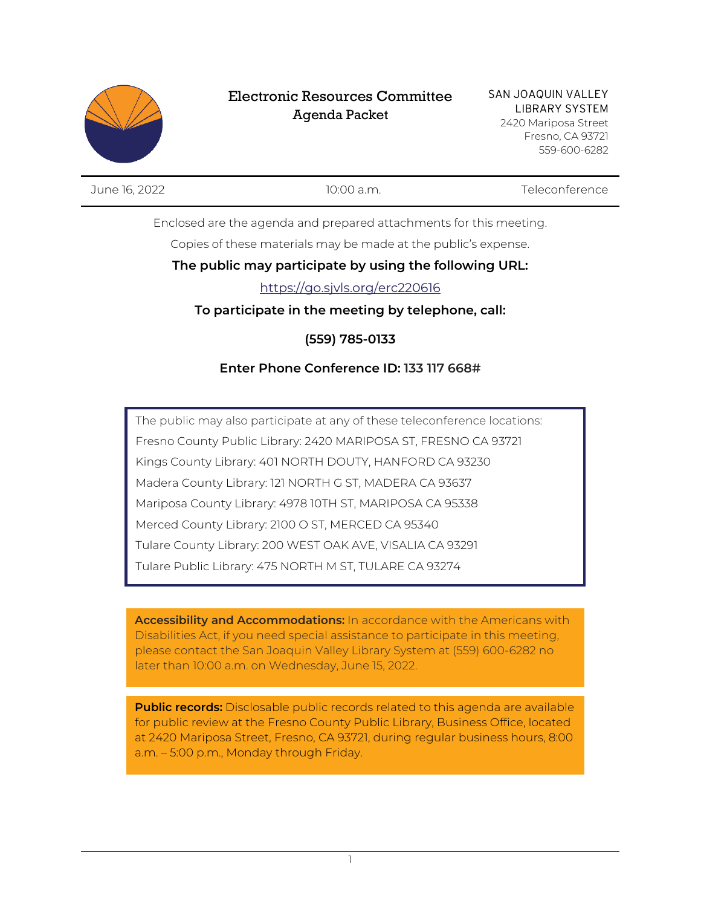

## Electronic Resources Committee Agenda Packet

June 16, 2022 10:00 a.m. Teleconference

Enclosed are the agenda and prepared attachments for this meeting.

Copies of these materials may be made at the public's expense.

## **The public may participate by using the following URL:**

## https://go.sjvls.org/erc220616

**To participate in the meeting by telephone, call:**

**(559) 785-0133**

## **Enter Phone Conference ID: 133 117 668#**

The public may also participate at any of these teleconference locations: Fresno County Public Library: 2420 MARIPOSA ST, FRESNO CA 93721 Kings County Library: 401 NORTH DOUTY, HANFORD CA 93230 Madera County Library: 121 NORTH G ST, MADERA CA 93637 Mariposa County Library: 4978 10TH ST, MARIPOSA CA 95338 Merced County Library: 2100 O ST, MERCED CA 95340 Tulare County Library: 200 WEST OAK AVE, VISALIA CA 93291 Tulare Public Library: 475 NORTH M ST, TULARE CA 93274

**Accessibility and Accommodations:** In accordance with the Americans with Disabilities Act, if you need special assistance to participate in this meeting, please contact the San Joaquin Valley Library System at (559) 600-6282 no later than 10:00 a.m. on Wednesday, June 15, 2022.

**Public records:** Disclosable public records related to this agenda are available for public review at the Fresno County Public Library, Business Office, located at 2420 Mariposa Street, Fresno, CA 93721, during regular business hours, 8:00 a.m. – 5:00 p.m., Monday through Friday.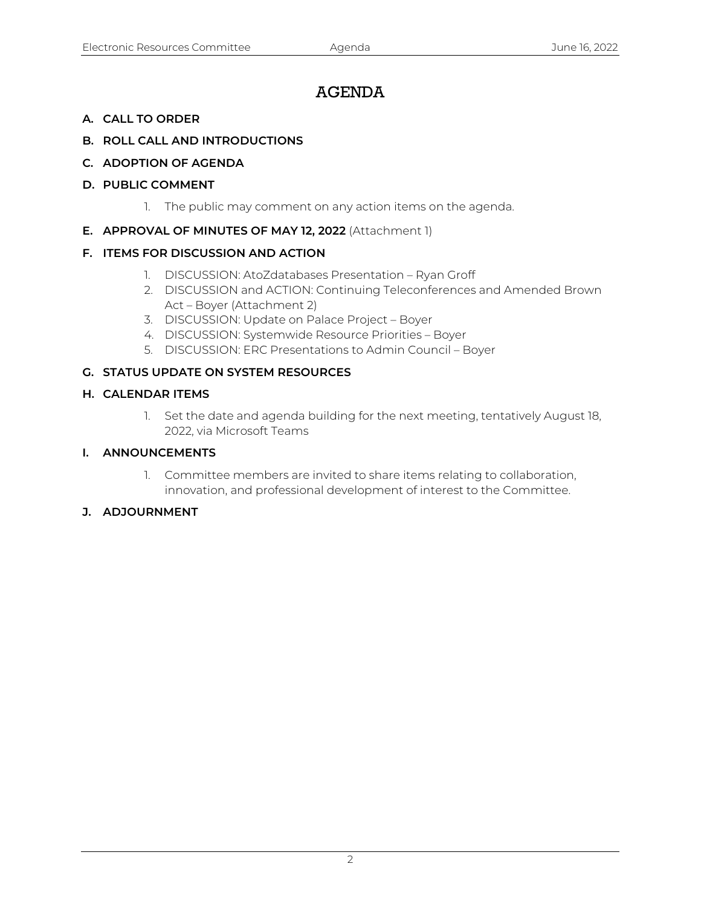# AGENDA

- **A. CALL TO ORDER**
- **B. ROLL CALL AND INTRODUCTIONS**
- **C. ADOPTION OF AGENDA**
- **D. PUBLIC COMMENT**
	- 1. The public may comment on any action items on the agenda.
- **E. APPROVAL OF MINUTES OF MAY 12, 2022** (Attachment 1)

#### **F. ITEMS FOR DISCUSSION AND ACTION**

- 1. DISCUSSION: AtoZdatabases Presentation Ryan Groff
- 2. DISCUSSION and ACTION: Continuing Teleconferences and Amended Brown Act – Boyer (Attachment 2)
- 3. DISCUSSION: Update on Palace Project Boyer
- 4. DISCUSSION: Systemwide Resource Priorities Boyer
- 5. DISCUSSION: ERC Presentations to Admin Council Boyer

#### **G. STATUS UPDATE ON SYSTEM RESOURCES**

#### **H. CALENDAR ITEMS**

1. Set the date and agenda building for the next meeting, tentatively August 18, 2022, via Microsoft Teams

#### **I. ANNOUNCEMENTS**

1. Committee members are invited to share items relating to collaboration, innovation, and professional development of interest to the Committee.

#### **J. ADJOURNMENT**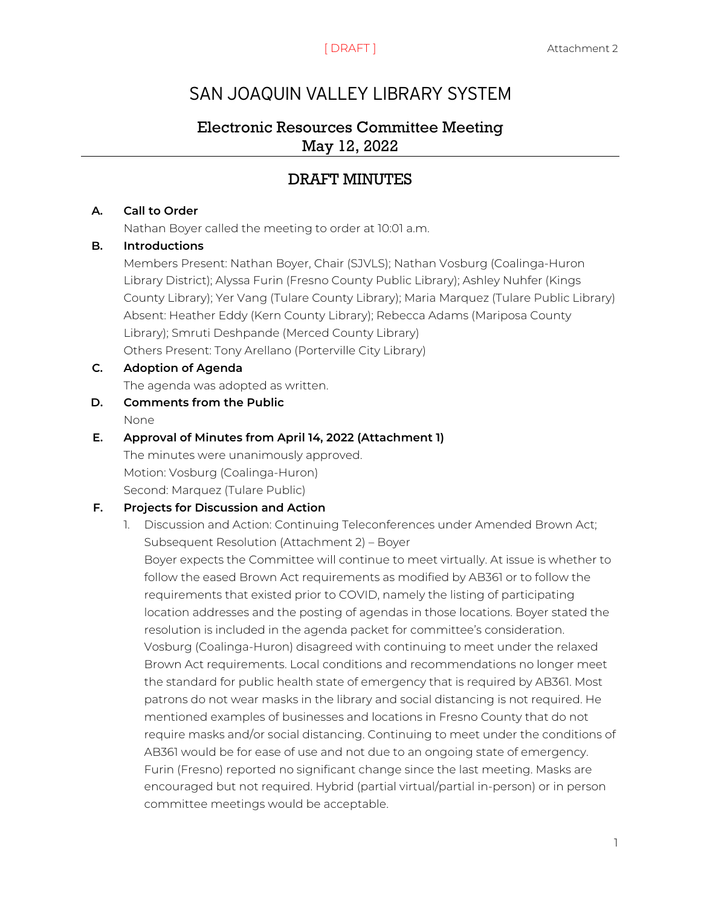# SAN JOAQUIN VALLEY LIBRARY SYSTEM

## Electronic Resources Committee Meeting May 12, 2022

# DRAFT MINUTES

#### **A. Call to Order**

Nathan Boyer called the meeting to order at 10:01 a.m.

#### **B. Introductions**

Members Present: Nathan Boyer, Chair (SJVLS); Nathan Vosburg (Coalinga-Huron Library District); Alyssa Furin (Fresno County Public Library); Ashley Nuhfer (Kings County Library); Yer Vang (Tulare County Library); Maria Marquez (Tulare Public Library) Absent: Heather Eddy (Kern County Library); Rebecca Adams (Mariposa County Library); Smruti Deshpande (Merced County Library) Others Present: Tony Arellano (Porterville City Library)

#### **C. Adoption of Agenda**

The agenda was adopted as written.

**D. Comments from the Public** None

#### **E. Approval of Minutes from April 14, 2022 (Attachment 1)**

The minutes were unanimously approved. Motion: Vosburg (Coalinga-Huron) Second: Marquez (Tulare Public)

#### **F. Projects for Discussion and Action**

1. Discussion and Action: Continuing Teleconferences under Amended Brown Act; Subsequent Resolution (Attachment 2) – Boyer

Boyer expects the Committee will continue to meet virtually. At issue is whether to follow the eased Brown Act requirements as modified by AB361 or to follow the requirements that existed prior to COVID, namely the listing of participating location addresses and the posting of agendas in those locations. Boyer stated the resolution is included in the agenda packet for committee's consideration. Vosburg (Coalinga-Huron) disagreed with continuing to meet under the relaxed Brown Act requirements. Local conditions and recommendations no longer meet the standard for public health state of emergency that is required by AB361. Most patrons do not wear masks in the library and social distancing is not required. He mentioned examples of businesses and locations in Fresno County that do not require masks and/or social distancing. Continuing to meet under the conditions of AB361 would be for ease of use and not due to an ongoing state of emergency. Furin (Fresno) reported no significant change since the last meeting. Masks are encouraged but not required. Hybrid (partial virtual/partial in-person) or in person committee meetings would be acceptable.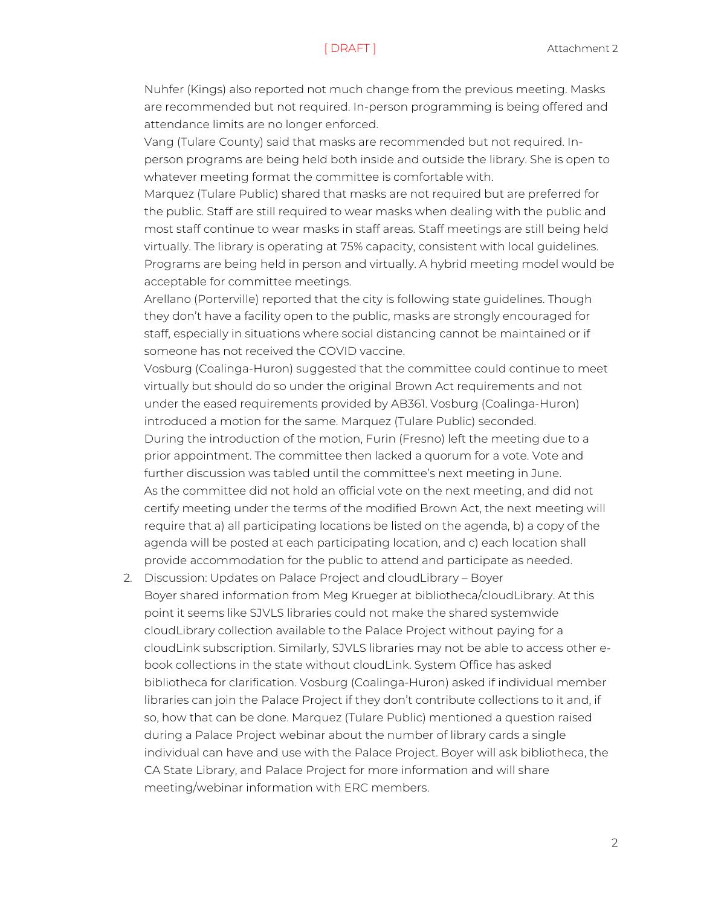Nuhfer (Kings) also reported not much change from the previous meeting. Masks are recommended but not required. In-person programming is being offered and attendance limits are no longer enforced.

Vang (Tulare County) said that masks are recommended but not required. Inperson programs are being held both inside and outside the library. She is open to whatever meeting format the committee is comfortable with.

Marquez (Tulare Public) shared that masks are not required but are preferred for the public. Staff are still required to wear masks when dealing with the public and most staff continue to wear masks in staff areas. Staff meetings are still being held virtually. The library is operating at 75% capacity, consistent with local guidelines. Programs are being held in person and virtually. A hybrid meeting model would be acceptable for committee meetings.

Arellano (Porterville) reported that the city is following state guidelines. Though they don't have a facility open to the public, masks are strongly encouraged for staff, especially in situations where social distancing cannot be maintained or if someone has not received the COVID vaccine.

Vosburg (Coalinga-Huron) suggested that the committee could continue to meet virtually but should do so under the original Brown Act requirements and not under the eased requirements provided by AB361. Vosburg (Coalinga-Huron) introduced a motion for the same. Marquez (Tulare Public) seconded. During the introduction of the motion, Furin (Fresno) left the meeting due to a prior appointment. The committee then lacked a quorum for a vote. Vote and further discussion was tabled until the committee's next meeting in June. As the committee did not hold an official vote on the next meeting, and did not certify meeting under the terms of the modified Brown Act, the next meeting will require that a) all participating locations be listed on the agenda, b) a copy of the agenda will be posted at each participating location, and c) each location shall provide accommodation for the public to attend and participate as needed.

2. Discussion: Updates on Palace Project and cloudLibrary – Boyer Boyer shared information from Meg Krueger at bibliotheca/cloudLibrary. At this point it seems like SJVLS libraries could not make the shared systemwide cloudLibrary collection available to the Palace Project without paying for a cloudLink subscription. Similarly, SJVLS libraries may not be able to access other ebook collections in the state without cloudLink. System Office has asked bibliotheca for clarification. Vosburg (Coalinga-Huron) asked if individual member libraries can join the Palace Project if they don't contribute collections to it and, if so, how that can be done. Marquez (Tulare Public) mentioned a question raised during a Palace Project webinar about the number of library cards a single individual can have and use with the Palace Project. Boyer will ask bibliotheca, the CA State Library, and Palace Project for more information and will share meeting/webinar information with ERC members.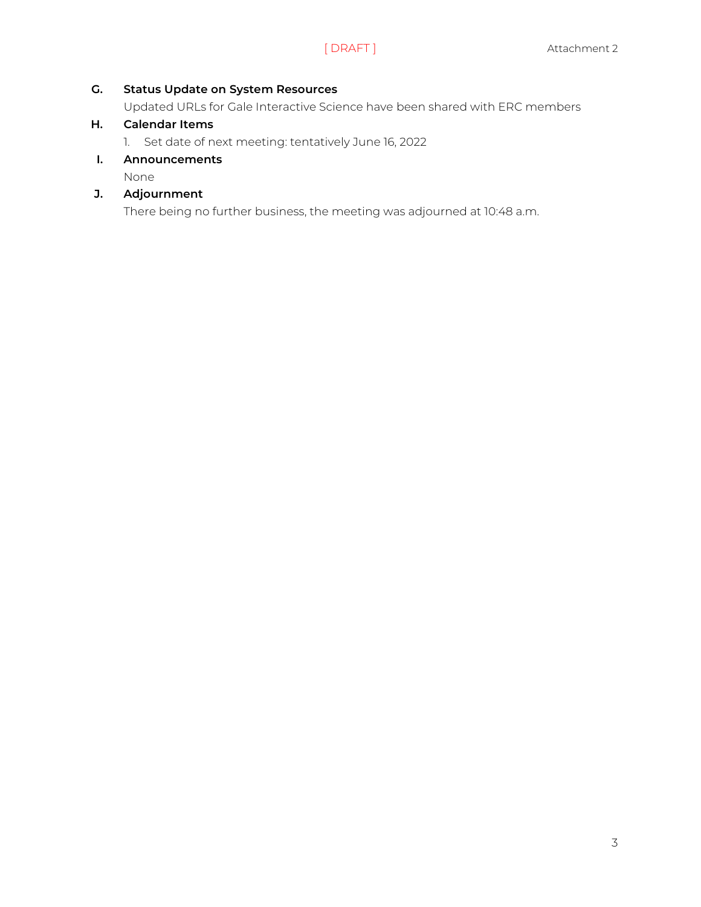#### **G. Status Update on System Resources**

Updated URLs for Gale Interactive Science have been shared with ERC members

#### **H. Calendar Items**

1. Set date of next meeting: tentatively June 16, 2022

#### **I. Announcements**

None

## **J. Adjournment**

There being no further business, the meeting was adjourned at 10:48 a.m.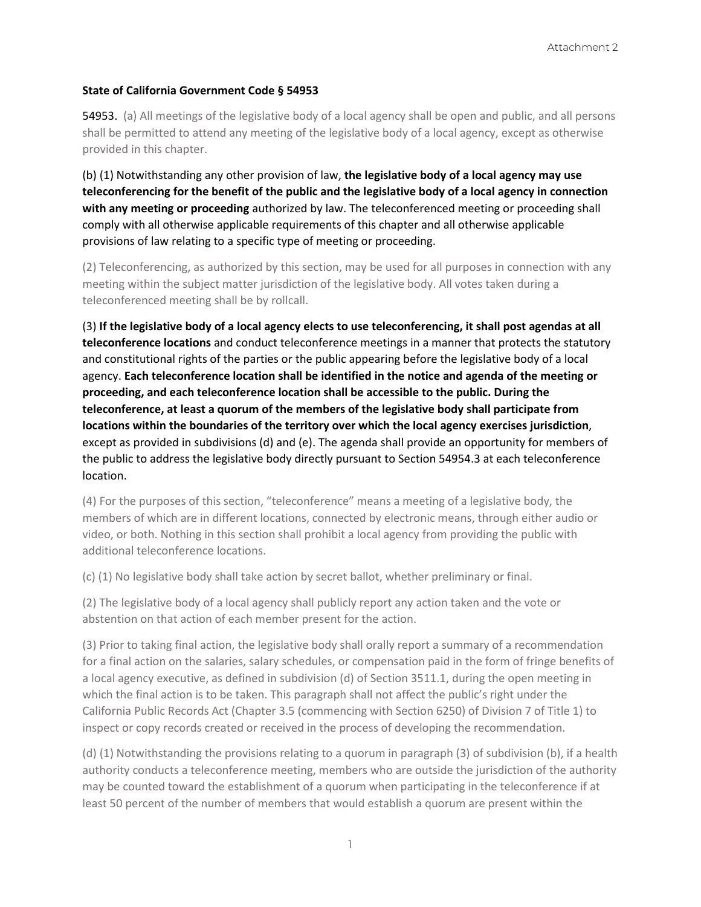#### **State of California Government Code § 54953**

54953. (a) All meetings of the legislative body of a local agency shall be open and public, and all persons shall be permitted to attend any meeting of the legislative body of a local agency, except as otherwise provided in this chapter.

(b) (1) Notwithstanding any other provision of law, **the legislative body of a local agency may use teleconferencing for the benefit of the public and the legislative body of a local agency in connection with any meeting or proceeding** authorized by law. The teleconferenced meeting or proceeding shall comply with all otherwise applicable requirements of this chapter and all otherwise applicable provisions of law relating to a specific type of meeting or proceeding.

(2) Teleconferencing, as authorized by this section, may be used for all purposes in connection with any meeting within the subject matter jurisdiction of the legislative body. All votes taken during a teleconferenced meeting shall be by rollcall.

(3) **If the legislative body of a local agency elects to use teleconferencing, it shall post agendas at all teleconference locations** and conduct teleconference meetings in a manner that protects the statutory and constitutional rights of the parties or the public appearing before the legislative body of a local agency. **Each teleconference location shall be identified in the notice and agenda of the meeting or proceeding, and each teleconference location shall be accessible to the public. During the teleconference, at least a quorum of the members of the legislative body shall participate from locations within the boundaries of the territory over which the local agency exercises jurisdiction**, except as provided in subdivisions (d) and (e). The agenda shall provide an opportunity for members of the public to address the legislative body directly pursuant to Section 54954.3 at each teleconference location.

(4) For the purposes of this section, "teleconference" means a meeting of a legislative body, the members of which are in different locations, connected by electronic means, through either audio or video, or both. Nothing in this section shall prohibit a local agency from providing the public with additional teleconference locations.

(c) (1) No legislative body shall take action by secret ballot, whether preliminary or final.

(2) The legislative body of a local agency shall publicly report any action taken and the vote or abstention on that action of each member present for the action.

(3) Prior to taking final action, the legislative body shall orally report a summary of a recommendation for a final action on the salaries, salary schedules, or compensation paid in the form of fringe benefits of a local agency executive, as defined in subdivision (d) of Section 3511.1, during the open meeting in which the final action is to be taken. This paragraph shall not affect the public's right under the California Public Records Act (Chapter 3.5 (commencing with Section 6250) of Division 7 of Title 1) to inspect or copy records created or received in the process of developing the recommendation.

(d) (1) Notwithstanding the provisions relating to a quorum in paragraph (3) of subdivision (b), if a health authority conducts a teleconference meeting, members who are outside the jurisdiction of the authority may be counted toward the establishment of a quorum when participating in the teleconference if at least 50 percent of the number of members that would establish a quorum are present within the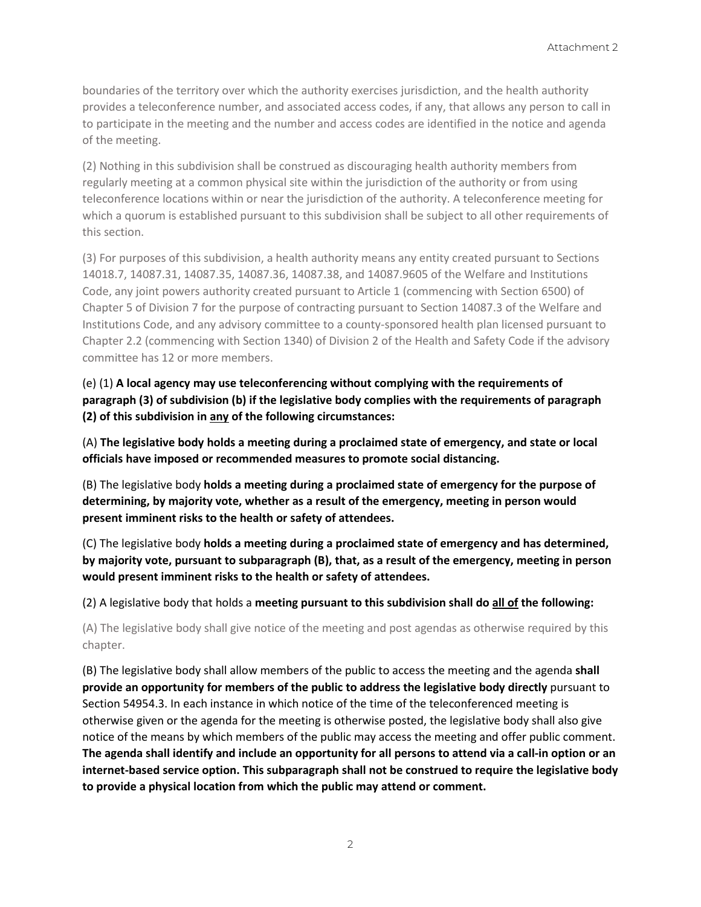boundaries of the territory over which the authority exercises jurisdiction, and the health authority provides a teleconference number, and associated access codes, if any, that allows any person to call in to participate in the meeting and the number and access codes are identified in the notice and agenda of the meeting.

(2) Nothing in this subdivision shall be construed as discouraging health authority members from regularly meeting at a common physical site within the jurisdiction of the authority or from using teleconference locations within or near the jurisdiction of the authority. A teleconference meeting for which a quorum is established pursuant to this subdivision shall be subject to all other requirements of this section.

(3) For purposes of this subdivision, a health authority means any entity created pursuant to Sections 14018.7, 14087.31, 14087.35, 14087.36, 14087.38, and 14087.9605 of the Welfare and Institutions Code, any joint powers authority created pursuant to Article 1 (commencing with Section 6500) of Chapter 5 of Division 7 for the purpose of contracting pursuant to Section 14087.3 of the Welfare and Institutions Code, and any advisory committee to a county-sponsored health plan licensed pursuant to Chapter 2.2 (commencing with Section 1340) of Division 2 of the Health and Safety Code if the advisory committee has 12 or more members.

(e) (1) **A local agency may use teleconferencing without complying with the requirements of paragraph (3) of subdivision (b) if the legislative body complies with the requirements of paragraph (2) of this subdivision in any of the following circumstances:**

(A) **The legislative body holds a meeting during a proclaimed state of emergency, and state or local officials have imposed or recommended measures to promote social distancing.**

(B) The legislative body **holds a meeting during a proclaimed state of emergency for the purpose of determining, by majority vote, whether as a result of the emergency, meeting in person would present imminent risks to the health or safety of attendees.**

(C) The legislative body **holds a meeting during a proclaimed state of emergency and has determined, by majority vote, pursuant to subparagraph (B), that, as a result of the emergency, meeting in person would present imminent risks to the health or safety of attendees.**

(2) A legislative body that holds a **meeting pursuant to this subdivision shall do all of the following:**

(A) The legislative body shall give notice of the meeting and post agendas as otherwise required by this chapter.

(B) The legislative body shall allow members of the public to access the meeting and the agenda **shall provide an opportunity for members of the public to address the legislative body directly** pursuant to Section 54954.3. In each instance in which notice of the time of the teleconferenced meeting is otherwise given or the agenda for the meeting is otherwise posted, the legislative body shall also give notice of the means by which members of the public may access the meeting and offer public comment. **The agenda shall identify and include an opportunity for all persons to attend via a call-in option or an internet-based service option. This subparagraph shall not be construed to require the legislative body to provide a physical location from which the public may attend or comment.**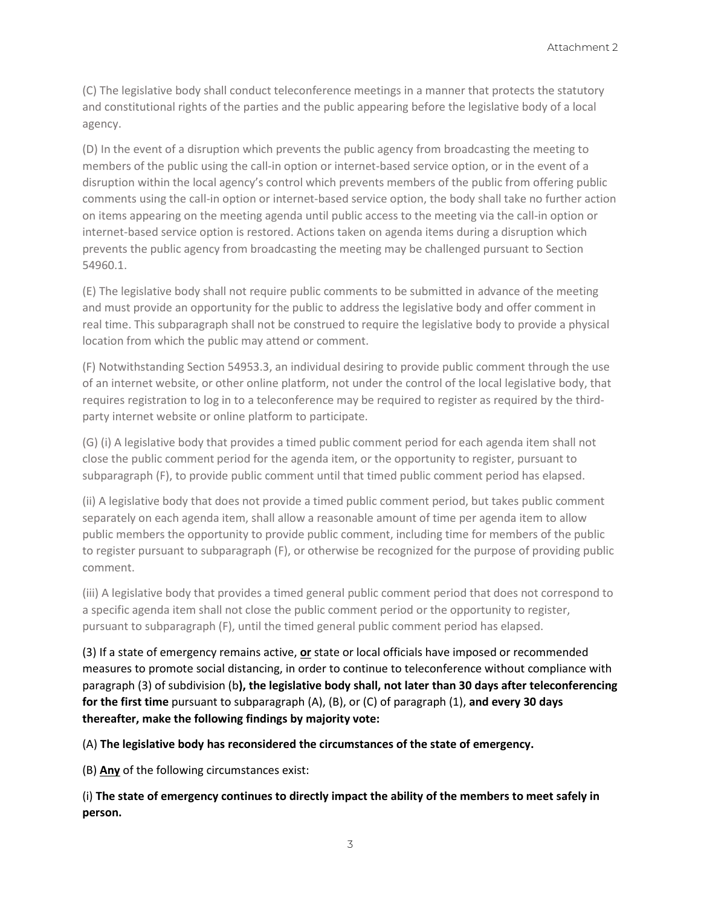(C) The legislative body shall conduct teleconference meetings in a manner that protects the statutory and constitutional rights of the parties and the public appearing before the legislative body of a local agency.

(D) In the event of a disruption which prevents the public agency from broadcasting the meeting to members of the public using the call-in option or internet-based service option, or in the event of a disruption within the local agency's control which prevents members of the public from offering public comments using the call-in option or internet-based service option, the body shall take no further action on items appearing on the meeting agenda until public access to the meeting via the call-in option or internet-based service option is restored. Actions taken on agenda items during a disruption which prevents the public agency from broadcasting the meeting may be challenged pursuant to Section 54960.1.

(E) The legislative body shall not require public comments to be submitted in advance of the meeting and must provide an opportunity for the public to address the legislative body and offer comment in real time. This subparagraph shall not be construed to require the legislative body to provide a physical location from which the public may attend or comment.

(F) Notwithstanding Section 54953.3, an individual desiring to provide public comment through the use of an internet website, or other online platform, not under the control of the local legislative body, that requires registration to log in to a teleconference may be required to register as required by the thirdparty internet website or online platform to participate.

(G) (i) A legislative body that provides a timed public comment period for each agenda item shall not close the public comment period for the agenda item, or the opportunity to register, pursuant to subparagraph (F), to provide public comment until that timed public comment period has elapsed.

(ii) A legislative body that does not provide a timed public comment period, but takes public comment separately on each agenda item, shall allow a reasonable amount of time per agenda item to allow public members the opportunity to provide public comment, including time for members of the public to register pursuant to subparagraph (F), or otherwise be recognized for the purpose of providing public comment.

(iii) A legislative body that provides a timed general public comment period that does not correspond to a specific agenda item shall not close the public comment period or the opportunity to register, pursuant to subparagraph (F), until the timed general public comment period has elapsed.

(3) If a state of emergency remains active, **or** state or local officials have imposed or recommended measures to promote social distancing, in order to continue to teleconference without compliance with paragraph (3) of subdivision (b**), the legislative body shall, not later than 30 days after teleconferencing for the first time** pursuant to subparagraph (A), (B), or (C) of paragraph (1), **and every 30 days thereafter, make the following findings by majority vote:**

(A) **The legislative body has reconsidered the circumstances of the state of emergency.**

(B) **Any** of the following circumstances exist:

(i) **The state of emergency continues to directly impact the ability of the members to meet safely in person.**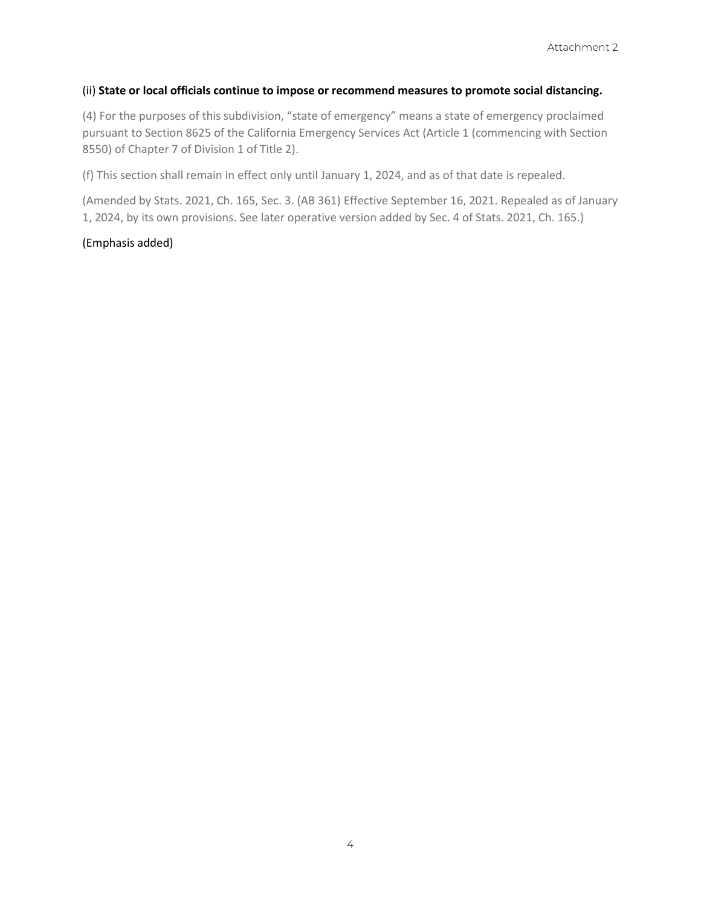#### (ii) **State or local officials continue to impose or recommend measures to promote social distancing.**

(4) For the purposes of this subdivision, "state of emergency" means a state of emergency proclaimed pursuant to Section 8625 of the California Emergency Services Act (Article 1 (commencing with Section 8550) of Chapter 7 of Division 1 of Title 2).

(f) This section shall remain in effect only until January 1, 2024, and as of that date is repealed.

(Amended by Stats. 2021, Ch. 165, Sec. 3. (AB 361) Effective September 16, 2021. Repealed as of January 1, 2024, by its own provisions. See later operative version added by Sec. 4 of Stats. 2021, Ch. 165.)

#### (Emphasis added)